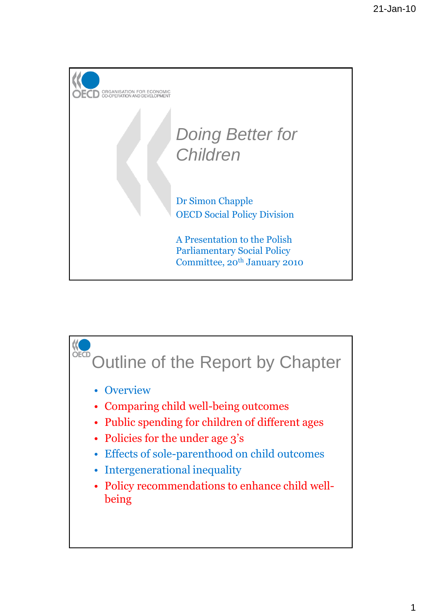

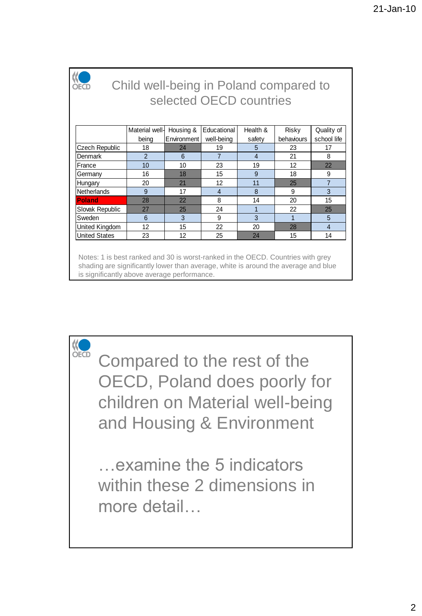

## Child well-being in Poland compared to selected OECD countries

|                      | Material well- | Housing &   | Educational    | Health & | Risky      | Quality of     |
|----------------------|----------------|-------------|----------------|----------|------------|----------------|
|                      | being          | Environment | well-being     | safety   | behaviours | school life    |
| Czech Republic       | 18             | 24          | 19             | 5        | 23         | 17             |
| Denmark              | 2              | 6           | 7              | 4        | 21         | 8              |
| France               | 10             | 10          | 23             | 19       | 12         | 22             |
| Germany              | 16             | 18          | 15             | 9        | 18         | 9              |
| Hungary              | 20             | 21          | 12             | 11       | 25         | 7              |
| Netherlands          | 9              | 17          | $\overline{4}$ | 8        | 9          | 3              |
| Poland               | 28             | 22          | 8              | 14       | 20         | 15             |
| Slovak Republic      | 27             | 25          | 24             |          | 22         | 25             |
| Sweden               | 6              | 3           | 9              | 3        |            | 5              |
| United Kingdom       | 12             | 15          | 22             | 20       | 28         | $\overline{4}$ |
| <b>United States</b> | 23             | 12          | 25             | 24       | 15         | 14             |

Notes: 1 is best ranked and 30 is worst-ranked in the OECD. Countries with grey shading are significantly lower than average, white is around the average and blue is significantly above average performance.

Compared to the rest of the OECD, Poland does poorly for children on Material well-being and Housing & Environment

…examine the 5 indicators within these 2 dimensions in more detail…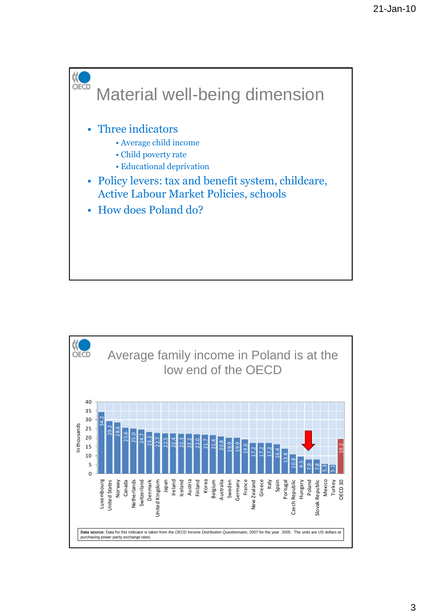

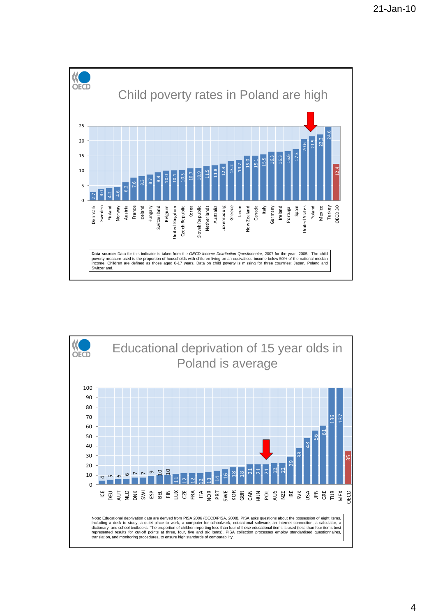

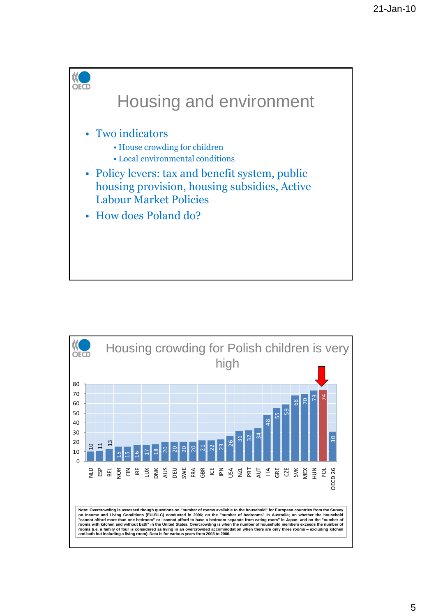

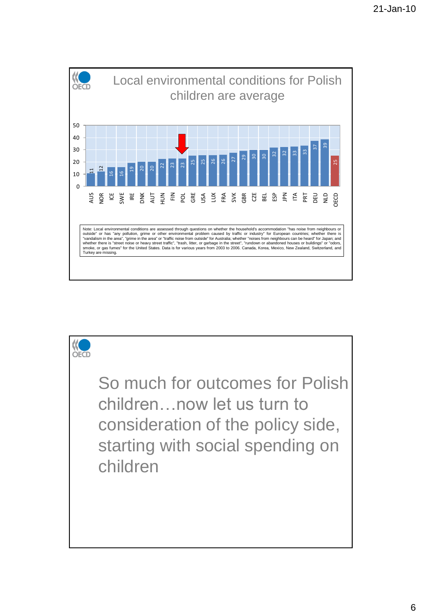

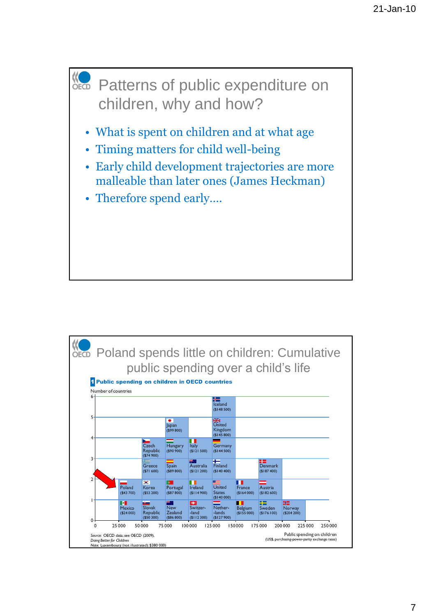

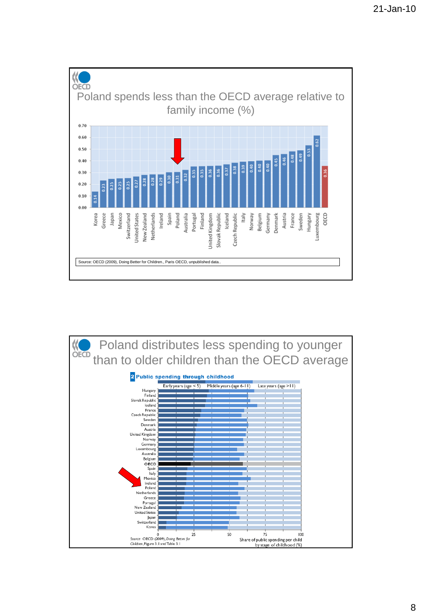

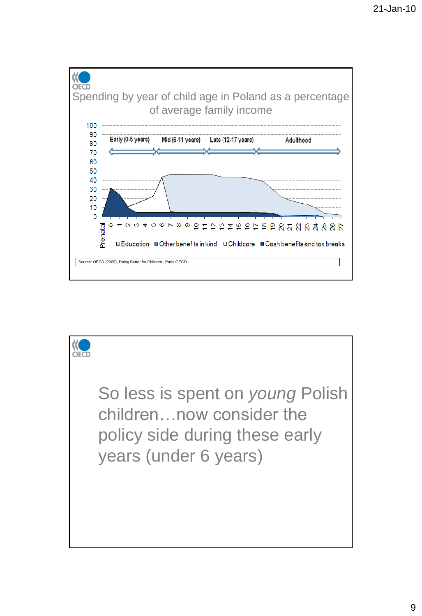

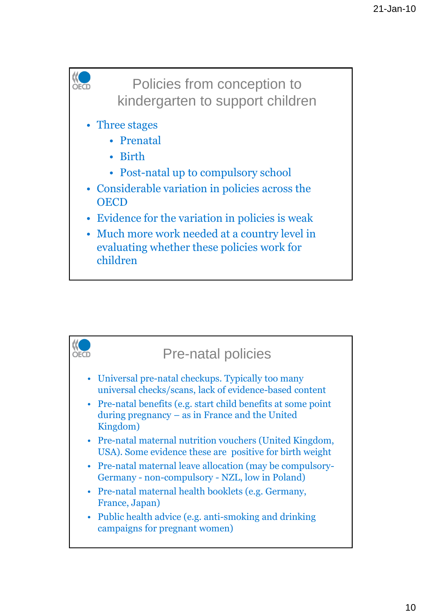## Policies from conception to **OECD** kindergarten to support children • Three stages • Prenatal • Birth • Post-natal up to compulsory school • Considerable variation in policies across the **OECD** • Evidence for the variation in policies is weak • Much more work needed at a country level in evaluating whether these policies work for children

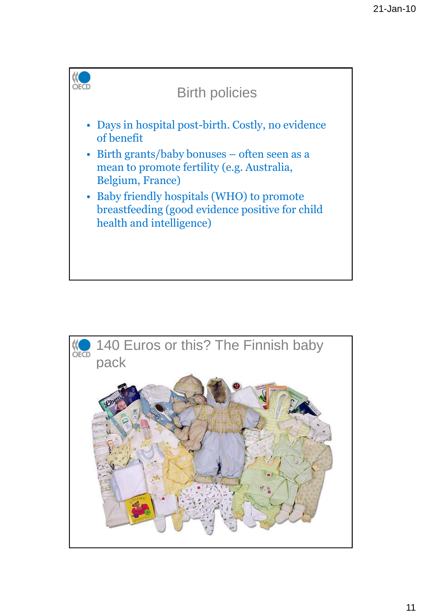

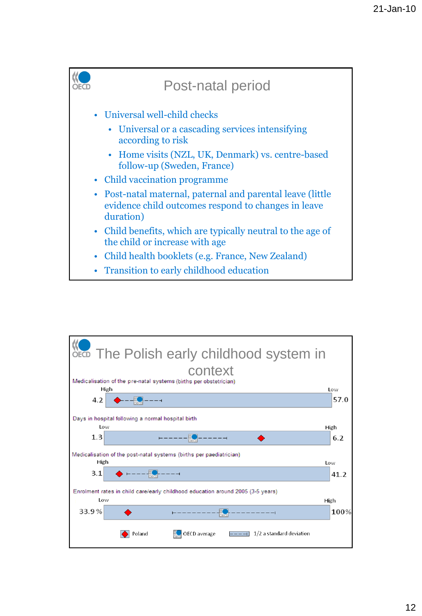

|       | SECD The Polish early childhood system in                                       |      |
|-------|---------------------------------------------------------------------------------|------|
|       | context                                                                         |      |
|       | Medicalisation of the pre-natal systems (births per obstetrician)<br>High       | Low  |
| 4.2   |                                                                                 | 57.0 |
|       | Days in hospital following a normal hospital birth                              |      |
| Low   |                                                                                 | High |
| 1.3   |                                                                                 | 6.2  |
| High  | Medicalisation of the post-natal systems (births per paediatrician)             | Low  |
| 3.1   |                                                                                 | 41.2 |
| Low   | Enrolment rates in child care/early childhood education around 2005 (3-5 years) | High |
| 33.9% |                                                                                 | 100% |
|       | $1/2$ a standard deviation<br>Poland<br>OECD average                            |      |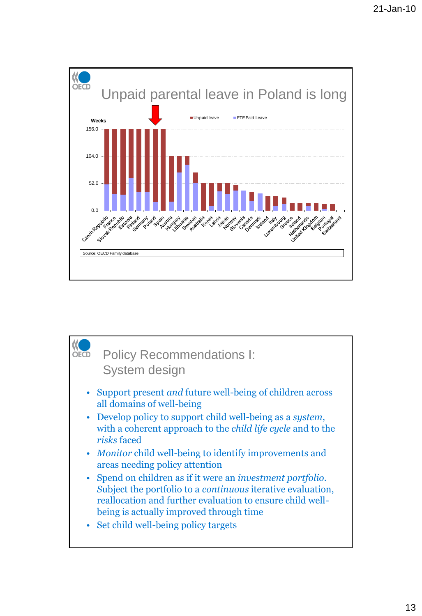

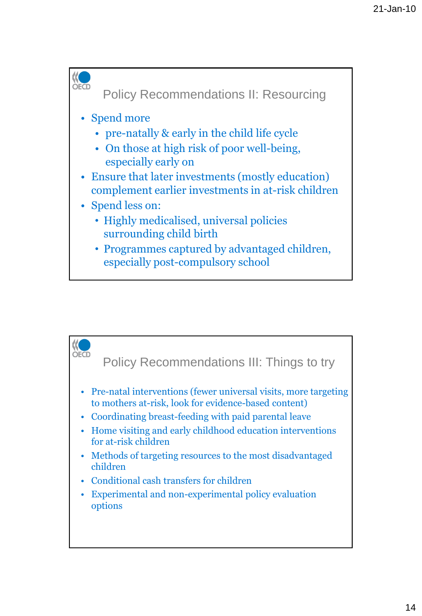

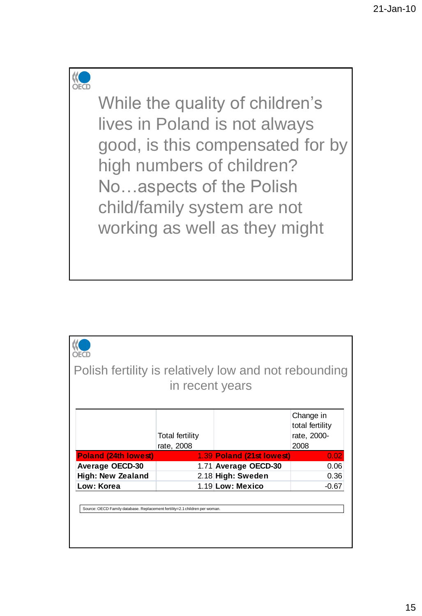## KO

While the quality of children's lives in Poland is not always good, is this compensated for by high numbers of children? No…aspects of the Polish child/family system are not working as well as they might

| Total fertility |            | Change in<br>total fertility<br>rate, 2000-<br>2008                                                                                                                    |
|-----------------|------------|------------------------------------------------------------------------------------------------------------------------------------------------------------------------|
|                 |            | 0.02                                                                                                                                                                   |
|                 |            | 0.06                                                                                                                                                                   |
|                 |            | 0.36                                                                                                                                                                   |
|                 |            | -0.67                                                                                                                                                                  |
|                 | rate, 2008 | Polish fertility is relatively low and not rebounding<br>in recent years<br>1.39 Poland (21st lowest)<br>1.71 Average OECD-30<br>2.18 High: Sweden<br>1.19 Low: Mexico |